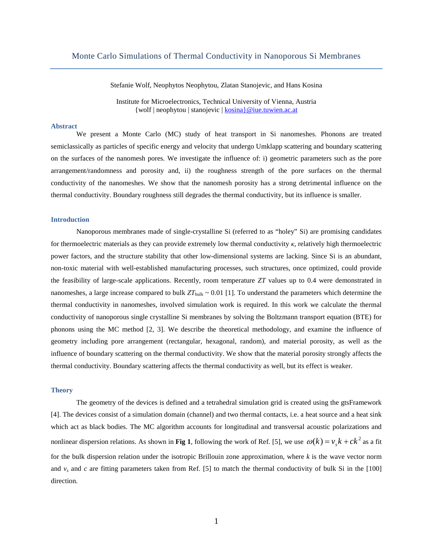Stefanie Wolf, Neophytos Neophytou, Zlatan Stanojevic, and Hans Kosina

Institute for Microelectronics, Technical University of Vienna, Austria {wolf | neophytou | stanojevic | [kosina}@iue.tuwien.ac.at](mailto:kosina%7D@iue.tuwien.ac.at)

# **Abstract**

We present a Monte Carlo (MC) study of heat transport in Si nanomeshes. Phonons are treated semiclassically as particles of specific energy and velocity that undergo Umklapp scattering and boundary scattering on the surfaces of the nanomesh pores. We investigate the influence of: i) geometric parameters such as the pore arrangement/randomness and porosity and, ii) the roughness strength of the pore surfaces on the thermal conductivity of the nanomeshes. We show that the nanomesh porosity has a strong detrimental influence on the thermal conductivity. Boundary roughness still degrades the thermal conductivity, but its influence is smaller.

# **Introduction**

Nanoporous membranes made of single-crystalline Si (referred to as "holey" Si) are promising candidates for thermoelectric materials as they can provide extremely low thermal conductivity *κ*, relatively high thermoelectric power factors, and the structure stability that other low-dimensional systems are lacking. Since Si is an abundant, non-toxic material with well-established manufacturing processes, such structures, once optimized, could provide the feasibility of large-scale applications. Recently, room temperature *ZT* values up to 0.4 were demonstrated in nanomeshes, a large increase compared to bulk  $ZT_{\text{bulk}} \sim 0.01$  [1]. To understand the parameters which determine the thermal conductivity in nanomeshes, involved simulation work is required. In this work we calculate the thermal conductivity of nanoporous single crystalline Si membranes by solving the Boltzmann transport equation (BTE) for phonons using the MC method [2, 3]. We describe the theoretical methodology, and examine the influence of geometry including pore arrangement (rectangular, hexagonal, random), and material porosity, as well as the influence of boundary scattering on the thermal conductivity. We show that the material porosity strongly affects the thermal conductivity. Boundary scattering affects the thermal conductivity as well, but its effect is weaker.

#### **Theory**

The geometry of the devices is defined and a tetrahedral simulation grid is created using the gtsFramework [4]. The devices consist of a simulation domain (channel) and two thermal contacts, i.e. a heat source and a heat sink which act as black bodies. The MC algorithm accounts for longitudinal and transversal acoustic polarizations and nonlinear dispersion relations. As shown in **Fig 1**, following the work of Ref. [5], we use  $\omega(k) = v_s k + ck^2$  as a fit for the bulk dispersion relation under the isotropic Brillouin zone approximation, where *k* is the wave vector norm and  $v_s$  and *c* are fitting parameters taken from Ref. [5] to match the thermal conductivity of bulk Si in the [100] direction.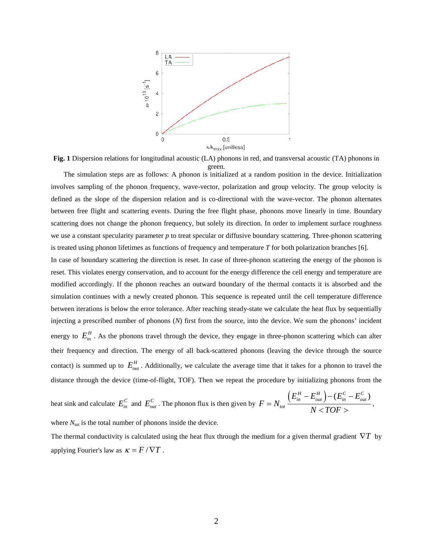

**Fig. 1** Dispersion relations for longitudinal acoustic (LA) phonons in red, and transversal acoustic (TA) phonons in green.

The simulation steps are as follows: A phonon is initialized at a random position in the device. Initialization involves sampling of the phonon frequency, wave-vector, polarization and group velocity. The group velocity is defined as the slope of the dispersion relation and is co-directional with the wave-vector. The phonon alternates between free flight and scattering events. During the free flight phase, phonons move linearly in time. Boundary scattering does not change the phonon frequency, but solely its direction. In order to implement surface roughness we use a constant specularity parameter *p* to treat specular or diffusive boundary scattering. Three-phonon scattering is treated using phonon lifetimes as functions of frequency and temperature *T* for both polarization branches [6].

In case of boundary scattering the direction is reset. In case of three-phonon scattering the energy of the phonon is reset. This violates energy conservation, and to account for the energy difference the cell energy and temperature are modified accordingly. If the phonon reaches an outward boundary of the thermal contacts it is absorbed and the simulation continues with a newly created phonon. This sequence is repeated until the cell temperature difference between iterations is below the error tolerance. After reaching steady-state we calculate the heat flux by sequentially injecting a prescribed number of phonons (*N*) first from the source, into the device. We sum the phonons' incident energy to  $E_{in}^H$ . As the phonons travel through the device, they engage in three-phonon scattering which can alter their frequency and direction. The energy of all back-scattered phonons (leaving the device through the source contact) is summed up to  $E_{out}^H$ . Additionally, we calculate the average time that it takes for a phonon to travel the distance through the device (time-of-flight, TOF). Then we repeat the procedure by initializing phonons from the

heat sink and calculate 
$$
E_{in}^C
$$
 and  $E_{out}^C$ . The phonon flux is then given by  $F = N_{tot} \frac{\left(E_{in}^H - E_{out}^H\right) - \left(E_{in}^C - E_{out}^C\right)}{N \lt TOF}.$ 

where  $N_{\text{tot}}$  is the total number of phonons inside the device.

The thermal conductivity is calculated using the heat flux through the medium for a given thermal gradient ∇*T* by applying Fourier's law as  $\kappa = F/\nabla T$ .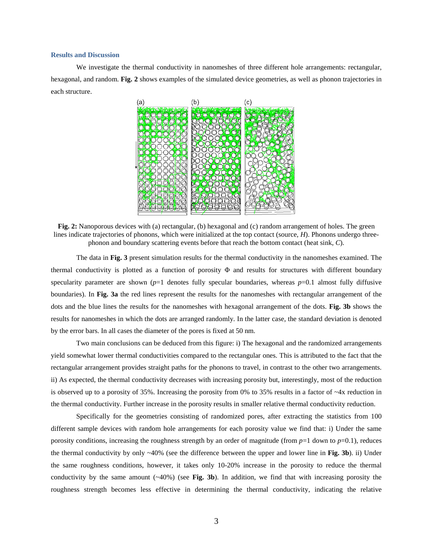## **Results and Discussion**

We investigate the thermal conductivity in nanomeshes of three different hole arrangements: rectangular, hexagonal, and random. **Fig. 2** shows examples of the simulated device geometries, as well as phonon trajectories in each structure.



**Fig. 2:** Nanoporous devices with (a) rectangular, (b) hexagonal and (c) random arrangement of holes. The green lines indicate trajectories of phonons, which were initialized at the top contact (source, *H*). Phonons undergo threephonon and boundary scattering events before that reach the bottom contact (heat sink, *C*).

The data in **Fig. 3** present simulation results for the thermal conductivity in the nanomeshes examined. The thermal conductivity is plotted as a function of porosity Φ and results for structures with different boundary specularity parameter are shown  $(p=1)$  denotes fully specular boundaries, whereas  $p=0.1$  almost fully diffusive boundaries). In **Fig. 3a** the red lines represent the results for the nanomeshes with rectangular arrangement of the dots and the blue lines the results for the nanomeshes with hexagonal arrangement of the dots. **Fig. 3b** shows the results for nanomeshes in which the dots are arranged randomly. In the latter case, the standard deviation is denoted by the error bars. In all cases the diameter of the pores is fixed at 50 nm.

Two main conclusions can be deduced from this figure: i) The hexagonal and the randomized arrangements yield somewhat lower thermal conductivities compared to the rectangular ones. This is attributed to the fact that the rectangular arrangement provides straight paths for the phonons to travel, in contrast to the other two arrangements. ii) As expected, the thermal conductivity decreases with increasing porosity but, interestingly, most of the reduction is observed up to a porosity of 35%. Increasing the porosity from 0% to 35% results in a factor of ~4x reduction in the thermal conductivity. Further increase in the porosity results in smaller relative thermal conductivity reduction.

Specifically for the geometries consisting of randomized pores, after extracting the statistics from 100 different sample devices with random hole arrangements for each porosity value we find that: i) Under the same porosity conditions, increasing the roughness strength by an order of magnitude (from  $p=1$  down to  $p=0.1$ ), reduces the thermal conductivity by only ~40% (see the difference between the upper and lower line in **Fig. 3b**). ii) Under the same roughness conditions, however, it takes only 10-20% increase in the porosity to reduce the thermal conductivity by the same amount (~40%) (see **Fig. 3b**). In addition, we find that with increasing porosity the roughness strength becomes less effective in determining the thermal conductivity, indicating the relative